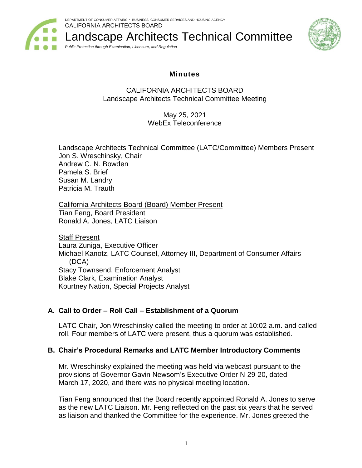

Landscape Architects Technical Committee *Public Protection through Examination, Licensure, and Regulation*



# **Minutes**

## CALIFORNIA ARCHITECTS BOARD Landscape Architects Technical Committee Meeting

May 25, 2021 WebEx Teleconference

Landscape Architects Technical Committee (LATC/Committee) Members Present Jon S. Wreschinsky, Chair Andrew C. N. Bowden Pamela S. Brief Susan M. Landry Patricia M. Trauth

California Architects Board (Board) Member Present Tian Feng, Board President Ronald A. Jones, LATC Liaison

Staff Present Laura Zuniga, Executive Officer Michael Kanotz, LATC Counsel, Attorney III, Department of Consumer Affairs (DCA) Stacy Townsend, Enforcement Analyst Blake Clark, Examination Analyst Kourtney Nation, Special Projects Analyst

# **A. Call to Order – Roll Call – Establishment of a Quorum**

LATC Chair, Jon Wreschinsky called the meeting to order at 10:02 a.m. and called roll. Four members of LATC were present, thus a quorum was established.

# **B. Chair's Procedural Remarks and LATC Member Introductory Comments**

Mr. Wreschinsky explained the meeting was held via webcast pursuant to the provisions of Governor Gavin Newsom's Executive Order N-29-20, dated March 17, 2020, and there was no physical meeting location.

Tian Feng announced that the Board recently appointed Ronald A. Jones to serve as the new LATC Liaison. Mr. Feng reflected on the past six years that he served as liaison and thanked the Committee for the experience. Mr. Jones greeted the